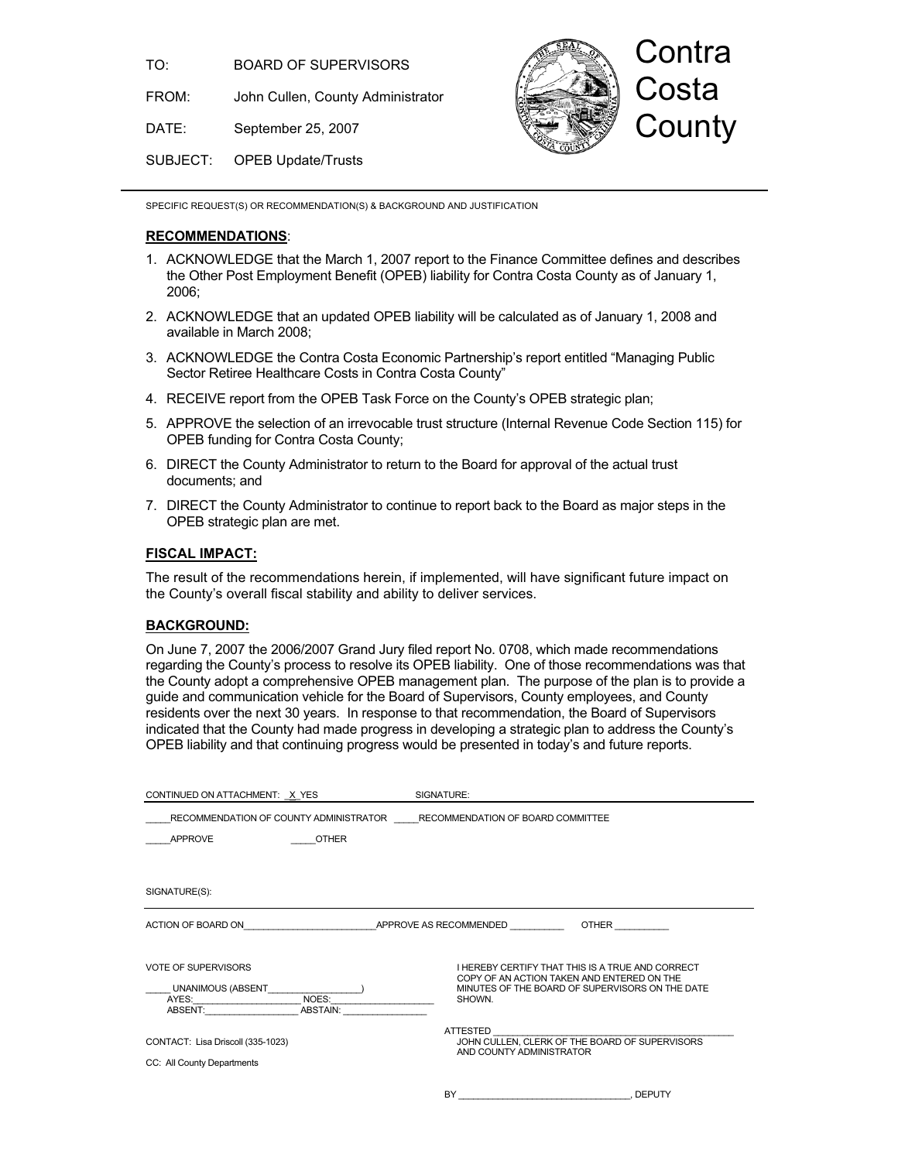TO: BOARD OF SUPERVISORS

FROM: John Cullen, County Administrator

DATE: September 25, 2007

Contra **Costa County** 

SUBJECT: OPEB Update/Trusts

SPECIFIC REQUEST(S) OR RECOMMENDATION(S) & BACKGROUND AND JUSTIFICATION

## **RECOMMENDATIONS**:

- 1. ACKNOWLEDGE that the March 1, 2007 report to the Finance Committee defines and describes the Other Post Employment Benefit (OPEB) liability for Contra Costa County as of January 1, 2006;
- 2. ACKNOWLEDGE that an updated OPEB liability will be calculated as of January 1, 2008 and available in March 2008;
- 3. ACKNOWLEDGE the Contra Costa Economic Partnership's report entitled "Managing Public Sector Retiree Healthcare Costs in Contra Costa County"
- 4. RECEIVE report from the OPEB Task Force on the County's OPEB strategic plan;
- 5. APPROVE the selection of an irrevocable trust structure (Internal Revenue Code Section 115) for OPEB funding for Contra Costa County;
- 6. DIRECT the County Administrator to return to the Board for approval of the actual trust documents; and
- 7. DIRECT the County Administrator to continue to report back to the Board as major steps in the OPEB strategic plan are met.

## **FISCAL IMPACT:**

The result of the recommendations herein, if implemented, will have significant future impact on the County's overall fiscal stability and ability to deliver services.

## **BACKGROUND:**

On June 7, 2007 the 2006/2007 Grand Jury filed report No. 0708, which made recommendations regarding the County's process to resolve its OPEB liability. One of those recommendations was that the County adopt a comprehensive OPEB management plan. The purpose of the plan is to provide a guide and communication vehicle for the Board of Supervisors, County employees, and County residents over the next 30 years. In response to that recommendation, the Board of Supervisors indicated that the County had made progress in developing a strategic plan to address the County's OPEB liability and that continuing progress would be presented in today's and future reports.

| CONTINUED ON ATTACHMENT: X YES                                           |                   | SIGNATURE:                                                                                                                                                         |              |  |
|--------------------------------------------------------------------------|-------------------|--------------------------------------------------------------------------------------------------------------------------------------------------------------------|--------------|--|
| RECOMMENDATION OF COUNTY ADMINISTRATOR RECOMMENDATION OF BOARD COMMITTEE |                   |                                                                                                                                                                    |              |  |
| <b>APPROVE</b>                                                           | <b>OTHER</b>      |                                                                                                                                                                    |              |  |
|                                                                          |                   |                                                                                                                                                                    |              |  |
| SIGNATURE(S):                                                            |                   |                                                                                                                                                                    |              |  |
| ACTION OF BOARD ON                                                       |                   | APPROVE AS RECOMMENDED                                                                                                                                             | <b>OTHER</b> |  |
| <b>VOTE OF SUPERVISORS</b><br>UNANIMOUS (ABSENT<br>AYES:<br>ABSENT:      | NOES:<br>ABSTAIN: | <b>I HEREBY CERTIFY THAT THIS IS A TRUE AND CORRECT</b><br>COPY OF AN ACTION TAKEN AND ENTERED ON THE<br>MINUTES OF THE BOARD OF SUPERVISORS ON THE DATE<br>SHOWN. |              |  |
| CONTACT: Lisa Driscoll (335-1023)<br>CC: All County Departments          |                   | ATTESTED<br>JOHN CULLEN, CLERK OF THE BOARD OF SUPERVISORS<br>AND COUNTY ADMINISTRATOR                                                                             |              |  |
|                                                                          |                   | BY                                                                                                                                                                 | , DEPUTY     |  |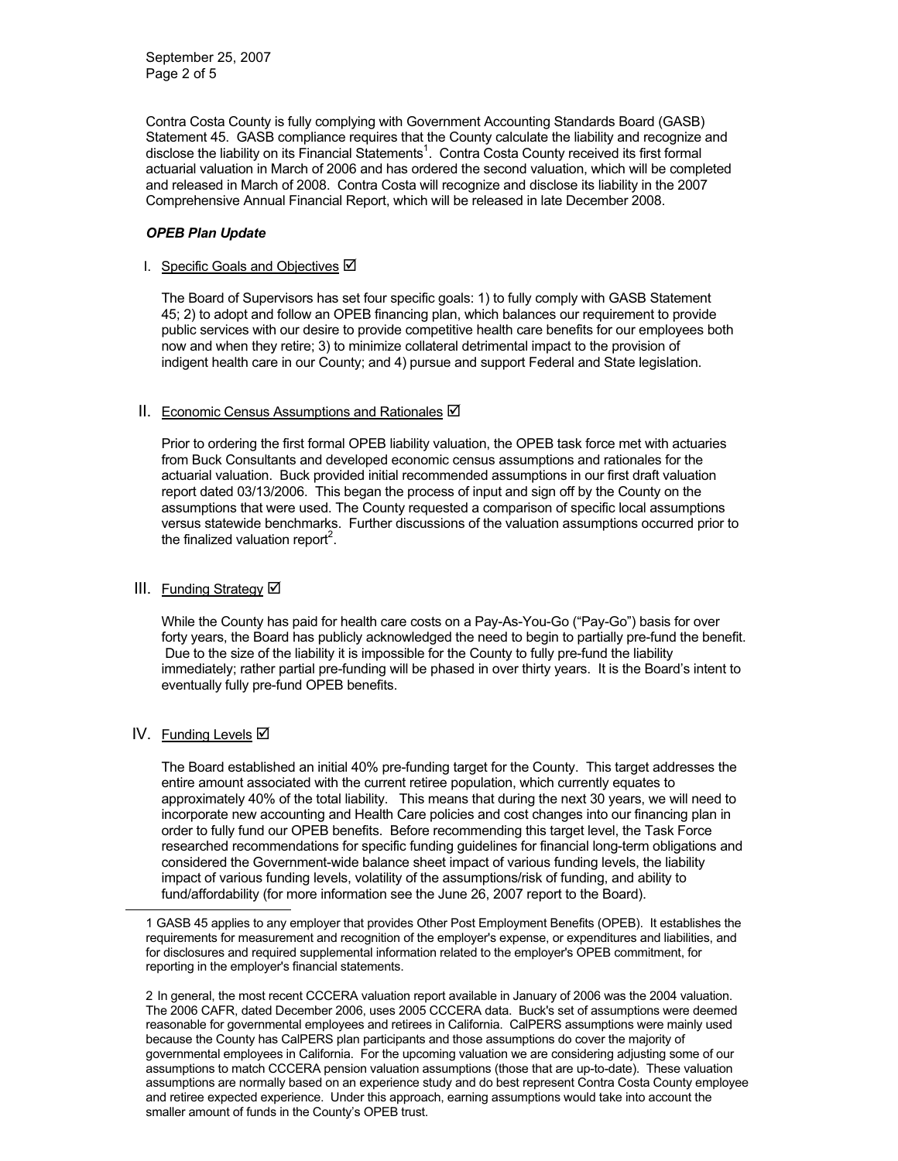Contra Costa County is fully complying with Government Accounting Standards Board (GASB) Statement 45. GASB compliance requires that the County calculate the liability and recognize and disclose the liability on its Financial Statements<sup>1</sup>. Contra Costa County received its first formal actuarial valuation in March of 2006 and has ordered the second valuation, which will be completed and released in March of 2008. Contra Costa will recognize and disclose its liability in the 2007 Comprehensive Annual Financial Report, which will be released in late December 2008.

### *OPEB Plan Update*

## I. Specific Goals and Objectives Ø

 The Board of Supervisors has set four specific goals: 1) to fully comply with GASB Statement 45; 2) to adopt and follow an OPEB financing plan, which balances our requirement to provide public services with our desire to provide competitive health care benefits for our employees both now and when they retire; 3) to minimize collateral detrimental impact to the provision of indigent health care in our County; and 4) pursue and support Federal and State legislation.

# II. Economic Census Assumptions and Rationales Ø

Prior to ordering the first formal OPEB liability valuation, the OPEB task force met with actuaries from Buck Consultants and developed economic census assumptions and rationales for the actuarial valuation. Buck provided initial recommended assumptions in our first draft valuation report dated 03/13/2006. This began the process of input and sign off by the County on the assumptions that were used. The County requested a comparison of specific local assumptions versus statewide benchmarks. Further discussions of the valuation assumptions occurred prior to the finalized valuation report<sup>2</sup>.

# III. Funding Strategy Ø

While the County has paid for health care costs on a Pay-As-You-Go ("Pay-Go") basis for over forty years, the Board has publicly acknowledged the need to begin to partially pre-fund the benefit. Due to the size of the liability it is impossible for the County to fully pre-fund the liability immediately; rather partial pre-funding will be phased in over thirty years. It is the Board's intent to eventually fully pre-fund OPEB benefits.

# IV. Funding Levels Ø

-

The Board established an initial 40% pre-funding target for the County. This target addresses the entire amount associated with the current retiree population, which currently equates to approximately 40% of the total liability. This means that during the next 30 years, we will need to incorporate new accounting and Health Care policies and cost changes into our financing plan in order to fully fund our OPEB benefits. Before recommending this target level, the Task Force researched recommendations for specific funding guidelines for financial long-term obligations and considered the Government-wide balance sheet impact of various funding levels, the liability impact of various funding levels, volatility of the assumptions/risk of funding, and ability to fund/affordability (for more information see the June 26, 2007 report to the Board).

<sup>1</sup> GASB 45 applies to any employer that provides Other Post Employment Benefits (OPEB). It establishes the requirements for measurement and recognition of the employer's expense, or expenditures and liabilities, and for disclosures and required supplemental information related to the employer's OPEB commitment, for reporting in the employer's financial statements.

<sup>2</sup> In general, the most recent CCCERA valuation report available in January of 2006 was the 2004 valuation. The 2006 CAFR, dated December 2006, uses 2005 CCCERA data. Buck's set of assumptions were deemed reasonable for governmental employees and retirees in California. CalPERS assumptions were mainly used because the County has CalPERS plan participants and those assumptions do cover the majority of governmental employees in California. For the upcoming valuation we are considering adjusting some of our assumptions to match CCCERA pension valuation assumptions (those that are up-to-date). These valuation assumptions are normally based on an experience study and do best represent Contra Costa County employee and retiree expected experience. Under this approach, earning assumptions would take into account the smaller amount of funds in the County's OPEB trust.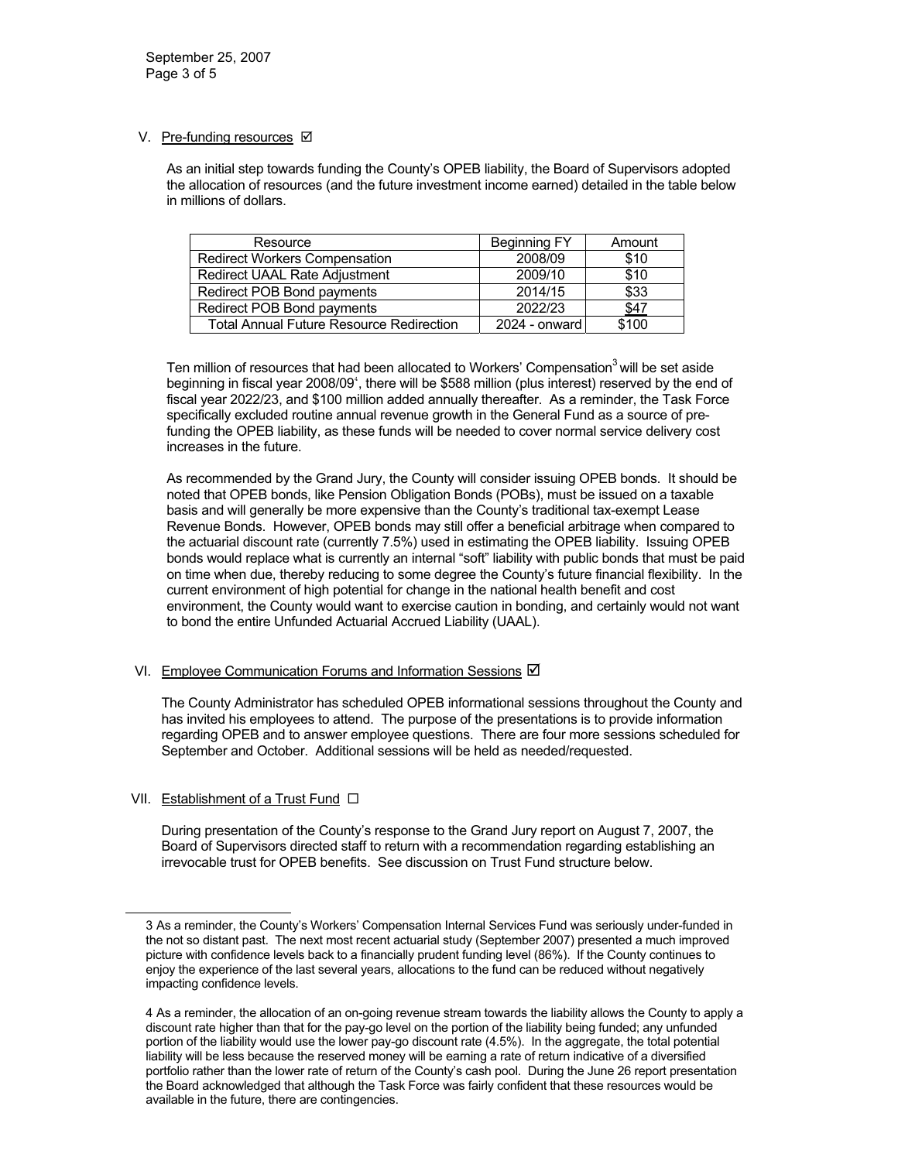## V. Pre-funding resources  $\boxtimes$

As an initial step towards funding the County's OPEB liability, the Board of Supervisors adopted the allocation of resources (and the future investment income earned) detailed in the table below in millions of dollars.

| Resource                                        | Beginning FY  | Amount |
|-------------------------------------------------|---------------|--------|
| <b>Redirect Workers Compensation</b>            | 2008/09       | \$10   |
| Redirect UAAL Rate Adjustment                   | 2009/10       | \$10   |
| Redirect POB Bond payments                      | 2014/15       | \$33   |
| Redirect POB Bond payments                      | 2022/23       | \$47   |
| <b>Total Annual Future Resource Redirection</b> | 2024 - onward | \$100  |

Ten million of resources that had been allocated to Workers' Compensation<sup>3</sup> will be set aside beginning in fiscal year 2008/09<sup>4</sup>, there will be \$588 million (plus interest) reserved by the end of fiscal year 2022/23, and \$100 million added annually thereafter. As a reminder, the Task Force specifically excluded routine annual revenue growth in the General Fund as a source of prefunding the OPEB liability, as these funds will be needed to cover normal service delivery cost increases in the future.

As recommended by the Grand Jury, the County will consider issuing OPEB bonds. It should be noted that OPEB bonds, like Pension Obligation Bonds (POBs), must be issued on a taxable basis and will generally be more expensive than the County's traditional tax-exempt Lease Revenue Bonds. However, OPEB bonds may still offer a beneficial arbitrage when compared to the actuarial discount rate (currently 7.5%) used in estimating the OPEB liability. Issuing OPEB bonds would replace what is currently an internal "soft" liability with public bonds that must be paid on time when due, thereby reducing to some degree the County's future financial flexibility. In the current environment of high potential for change in the national health benefit and cost environment, the County would want to exercise caution in bonding, and certainly would not want to bond the entire Unfunded Actuarial Accrued Liability (UAAL).

## VI. Employee Communication Forums and Information Sessions  $\boxtimes$

The County Administrator has scheduled OPEB informational sessions throughout the County and has invited his employees to attend. The purpose of the presentations is to provide information regarding OPEB and to answer employee questions. There are four more sessions scheduled for September and October. Additional sessions will be held as needed/requested.

## VII. Establishment of a Trust Fund □

÷

During presentation of the County's response to the Grand Jury report on August 7, 2007, the Board of Supervisors directed staff to return with a recommendation regarding establishing an irrevocable trust for OPEB benefits. See discussion on Trust Fund structure below.

<sup>3</sup> As a reminder, the County's Workers' Compensation Internal Services Fund was seriously under-funded in the not so distant past. The next most recent actuarial study (September 2007) presented a much improved picture with confidence levels back to a financially prudent funding level (86%). If the County continues to enjoy the experience of the last several years, allocations to the fund can be reduced without negatively impacting confidence levels.

<sup>4</sup> As a reminder, the allocation of an on-going revenue stream towards the liability allows the County to apply a discount rate higher than that for the pay-go level on the portion of the liability being funded; any unfunded portion of the liability would use the lower pay-go discount rate (4.5%). In the aggregate, the total potential liability will be less because the reserved money will be earning a rate of return indicative of a diversified portfolio rather than the lower rate of return of the County's cash pool. During the June 26 report presentation the Board acknowledged that although the Task Force was fairly confident that these resources would be available in the future, there are contingencies.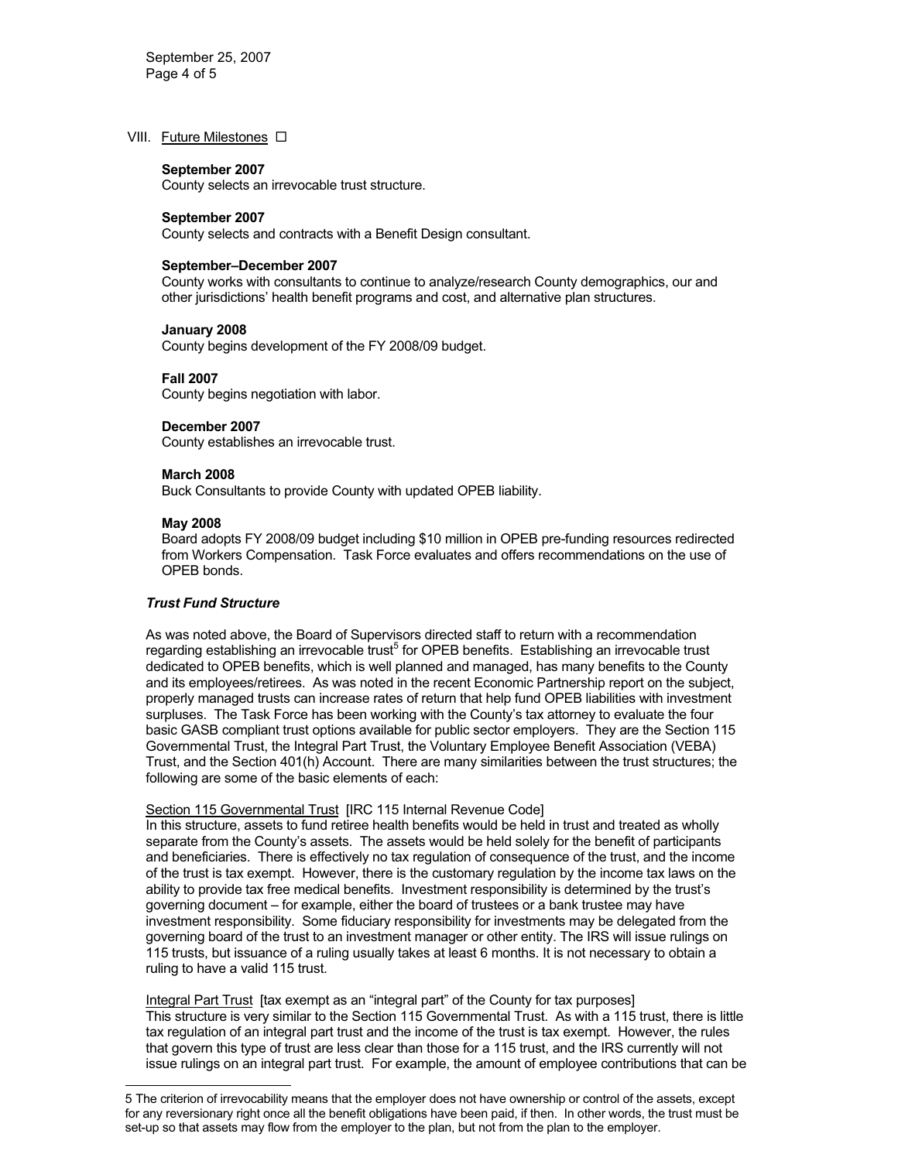#### VIII. Future Milestones  $\Box$

#### **September 2007**

County selects an irrevocable trust structure.

#### **September 2007**

County selects and contracts with a Benefit Design consultant.

#### **September–December 2007**

County works with consultants to continue to analyze/research County demographics, our and other jurisdictions' health benefit programs and cost, and alternative plan structures.

#### **January 2008**

County begins development of the FY 2008/09 budget.

#### **Fall 2007**

County begins negotiation with labor.

#### **December 2007**

County establishes an irrevocable trust.

#### **March 2008**

Buck Consultants to provide County with updated OPEB liability.

#### **May 2008**

L,

Board adopts FY 2008/09 budget including \$10 million in OPEB pre-funding resources redirected from Workers Compensation. Task Force evaluates and offers recommendations on the use of OPEB bonds.

#### *Trust Fund Structure*

As was noted above, the Board of Supervisors directed staff to return with a recommendation regarding establishing an irrevocable trust<sup>5</sup> for OPEB benefits. Establishing an irrevocable trust dedicated to OPEB benefits, which is well planned and managed, has many benefits to the County and its employees/retirees. As was noted in the recent Economic Partnership report on the subject, properly managed trusts can increase rates of return that help fund OPEB liabilities with investment surpluses. The Task Force has been working with the County's tax attorney to evaluate the four basic GASB compliant trust options available for public sector employers. They are the Section 115 Governmental Trust, the Integral Part Trust, the Voluntary Employee Benefit Association (VEBA) Trust, and the Section 401(h) Account. There are many similarities between the trust structures; the following are some of the basic elements of each:

Section 115 Governmental Trust [IRC 115 Internal Revenue Code]

In this structure, assets to fund retiree health benefits would be held in trust and treated as wholly separate from the County's assets. The assets would be held solely for the benefit of participants and beneficiaries. There is effectively no tax regulation of consequence of the trust, and the income of the trust is tax exempt. However, there is the customary regulation by the income tax laws on the ability to provide tax free medical benefits. Investment responsibility is determined by the trust's governing document – for example, either the board of trustees or a bank trustee may have investment responsibility. Some fiduciary responsibility for investments may be delegated from the governing board of the trust to an investment manager or other entity. The IRS will issue rulings on 115 trusts, but issuance of a ruling usually takes at least 6 months. It is not necessary to obtain a ruling to have a valid 115 trust.

Integral Part Trust [tax exempt as an "integral part" of the County for tax purposes] This structure is very similar to the Section 115 Governmental Trust. As with a 115 trust, there is little tax regulation of an integral part trust and the income of the trust is tax exempt. However, the rules that govern this type of trust are less clear than those for a 115 trust, and the IRS currently will not issue rulings on an integral part trust. For example, the amount of employee contributions that can be

<sup>5</sup> The criterion of irrevocability means that the employer does not have ownership or control of the assets, except for any reversionary right once all the benefit obligations have been paid, if then. In other words, the trust must be set-up so that assets may flow from the employer to the plan, but not from the plan to the employer.